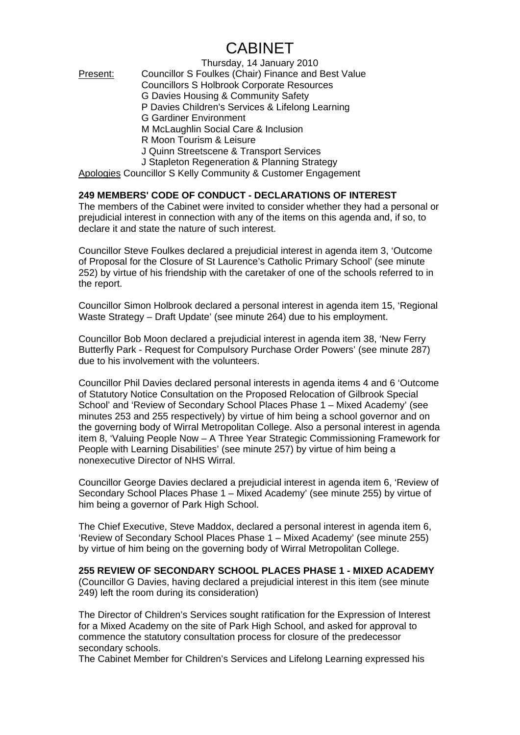## **CABINET**

Thursday, 14 January 2010 Present: Councillor S Foulkes (Chair) Finance and Best Value Councillors S Holbrook Corporate Resources G Davies Housing & Community Safety P Davies Children's Services & Lifelong Learning G Gardiner Environment M McLaughlin Social Care & Inclusion R Moon Tourism & Leisure J Quinn Streetscene & Transport Services J Stapleton Regeneration & Planning Strategy Apologies Councillor S Kelly Community & Customer Engagement

## **249 MEMBERS' CODE OF CONDUCT - DECLARATIONS OF INTEREST**

The members of the Cabinet were invited to consider whether they had a personal or prejudicial interest in connection with any of the items on this agenda and, if so, to declare it and state the nature of such interest.

Councillor Steve Foulkes declared a prejudicial interest in agenda item 3, 'Outcome of Proposal for the Closure of St Laurence's Catholic Primary School' (see minute 252) by virtue of his friendship with the caretaker of one of the schools referred to in the report.

Councillor Simon Holbrook declared a personal interest in agenda item 15, 'Regional Waste Strategy – Draft Update' (see minute 264) due to his employment.

Councillor Bob Moon declared a prejudicial interest in agenda item 38, 'New Ferry Butterfly Park - Request for Compulsory Purchase Order Powers' (see minute 287) due to his involvement with the volunteers.

Councillor Phil Davies declared personal interests in agenda items 4 and 6 'Outcome of Statutory Notice Consultation on the Proposed Relocation of Gilbrook Special School' and 'Review of Secondary School Places Phase 1 – Mixed Academy' (see minutes 253 and 255 respectively) by virtue of him being a school governor and on the governing body of Wirral Metropolitan College. Also a personal interest in agenda item 8, 'Valuing People Now – A Three Year Strategic Commissioning Framework for People with Learning Disabilities' (see minute 257) by virtue of him being a nonexecutive Director of NHS Wirral.

Councillor George Davies declared a prejudicial interest in agenda item 6, 'Review of Secondary School Places Phase 1 – Mixed Academy' (see minute 255) by virtue of him being a governor of Park High School.

The Chief Executive, Steve Maddox, declared a personal interest in agenda item 6, 'Review of Secondary School Places Phase 1 – Mixed Academy' (see minute 255) by virtue of him being on the governing body of Wirral Metropolitan College.

**255 REVIEW OF SECONDARY SCHOOL PLACES PHASE 1 - MIXED ACADEMY**  (Councillor G Davies, having declared a prejudicial interest in this item (see minute 249) left the room during its consideration)

The Director of Children's Services sought ratification for the Expression of Interest for a Mixed Academy on the site of Park High School, and asked for approval to commence the statutory consultation process for closure of the predecessor secondary schools.

The Cabinet Member for Children's Services and Lifelong Learning expressed his